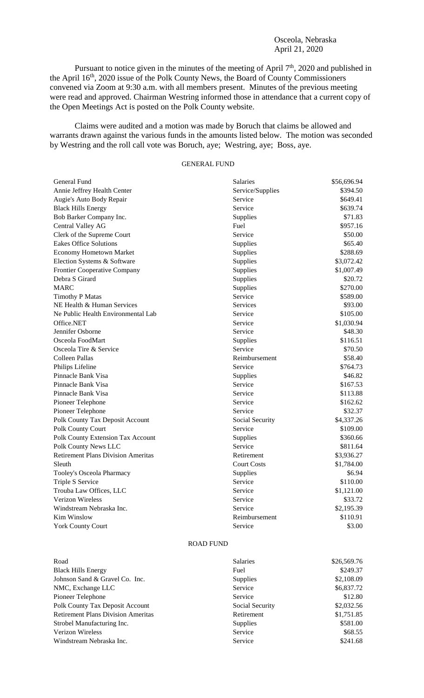## Osceola, Nebraska April 21, 2020

Pursuant to notice given in the minutes of the meeting of April 7<sup>th</sup>, 2020 and published in the April 16<sup>th</sup>, 2020 issue of the Polk County News, the Board of County Commissioners convened via Zoom at 9:30 a.m. with all members present. Minutes of the previous meeting were read and approved. Chairman Westring informed those in attendance that a current copy of the Open Meetings Act is posted on the Polk County website.

Claims were audited and a motion was made by Boruch that claims be allowed and warrants drawn against the various funds in the amounts listed below. The motion was seconded by Westring and the roll call vote was Boruch, aye; Westring, aye; Boss, aye.

## GENERAL FUND

| <b>General Fund</b>                       | <b>Salaries</b>    | \$56,696.94 |
|-------------------------------------------|--------------------|-------------|
| Annie Jeffrey Health Center               | Service/Supplies   | \$394.50    |
| Augie's Auto Body Repair                  | Service            | \$649.41    |
| <b>Black Hills Energy</b>                 | Service            | \$639.74    |
| Bob Barker Company Inc.                   | Supplies           | \$71.83     |
| Central Valley AG                         | Fuel               | \$957.16    |
| Clerk of the Supreme Court                | Service            | \$50.00     |
| <b>Eakes Office Solutions</b>             | Supplies           | \$65.40     |
| <b>Economy Hometown Market</b>            | Supplies           | \$288.69    |
| Election Systems & Software               | Supplies           | \$3,072.42  |
| Frontier Cooperative Company              | Supplies           | \$1,007.49  |
| Debra S Girard                            | Supplies           | \$20.72     |
| <b>MARC</b>                               | Supplies           | \$270.00    |
| <b>Timothy P Matas</b>                    | Service            | \$589.00    |
| NE Health & Human Services                | Services           | \$93.00     |
| Ne Public Health Environmental Lab        | Service            | \$105.00    |
| Office.NET                                | Service            | \$1,030.94  |
| Jennifer Osborne                          | Service            | \$48.30     |
| Osceola FoodMart                          | Supplies           | \$116.51    |
| Osceola Tire & Service                    | Service            | \$70.50     |
| Colleen Pallas                            | Reimbursement      | \$58.40     |
| Philips Lifeline                          | Service            | \$764.73    |
| Pinnacle Bank Visa                        | Supplies           | \$46.82     |
| Pinnacle Bank Visa                        | Service            | \$167.53    |
| Pinnacle Bank Visa                        | Service            | \$113.88    |
| Pioneer Telephone                         | Service            | \$162.62    |
| Pioneer Telephone                         | Service            | \$32.37     |
| Polk County Tax Deposit Account           | Social Security    | \$4,337.26  |
| Polk County Court                         | Service            | \$109.00    |
| Polk County Extension Tax Account         | Supplies           | \$360.66    |
| Polk County News LLC                      | Service            | \$811.64    |
| <b>Retirement Plans Division Ameritas</b> | Retirement         | \$3,936.27  |
| Sleuth                                    | <b>Court Costs</b> | \$1,784.00  |
| Tooley's Osceola Pharmacy                 | Supplies           | \$6.94      |
| Triple S Service                          | Service            | \$110.00    |
| Trouba Law Offices, LLC                   | Service            | \$1,121.00  |
| <b>Verizon Wireless</b>                   | Service            | \$33.72     |
| Windstream Nebraska Inc.                  | Service            | \$2,195.39  |
| Kim Winslow                               | Reimbursement      | \$110.91    |
| <b>York County Court</b>                  | Service            | \$3.00      |

## ROAD FUND

| Road                                      | <b>Salaries</b> | \$26,569.76 |
|-------------------------------------------|-----------------|-------------|
| <b>Black Hills Energy</b>                 | Fuel            | \$249.37    |
| Johnson Sand & Gravel Co. Inc.            | <b>Supplies</b> | \$2,108.09  |
| NMC, Exchange LLC                         | Service         | \$6,837.72  |
| Pioneer Telephone                         | Service         | \$12.80     |
| Polk County Tax Deposit Account           | Social Security | \$2,032.56  |
| <b>Retirement Plans Division Ameritas</b> | Retirement      | \$1,751.85  |
| Strobel Manufacturing Inc.                | Supplies        | \$581.00    |
| Verizon Wireless                          | Service         | \$68.55     |
| Windstream Nebraska Inc.                  | Service         | \$241.68    |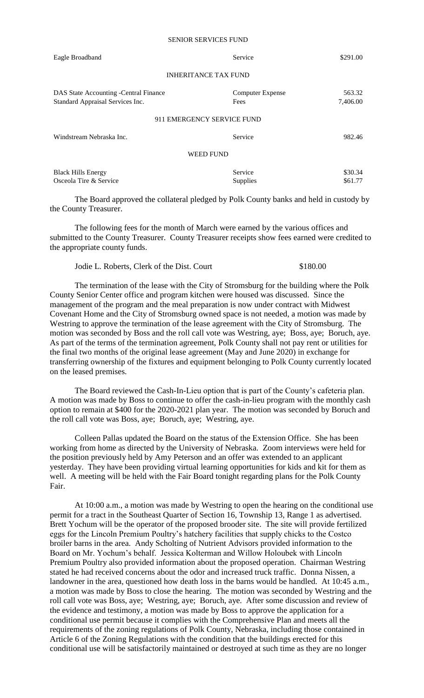| Eagle Broadband                                                           | Service                         | \$291.00           |
|---------------------------------------------------------------------------|---------------------------------|--------------------|
| <b>INHERITANCE TAX FUND</b>                                               |                                 |                    |
| DAS State Accounting -Central Finance<br>Standard Appraisal Services Inc. | <b>Computer Expense</b><br>Fees | 563.32<br>7,406.00 |
| 911 EMERGENCY SERVICE FUND                                                |                                 |                    |
| Windstream Nebraska Inc.                                                  | Service                         | 982.46             |
| <b>WEED FUND</b>                                                          |                                 |                    |
| <b>Black Hills Energy</b><br>Osceola Tire & Service                       | Service<br><b>Supplies</b>      | \$30.34<br>\$61.77 |

The Board approved the collateral pledged by Polk County banks and held in custody by the County Treasurer.

The following fees for the month of March were earned by the various offices and submitted to the County Treasurer. County Treasurer receipts show fees earned were credited to the appropriate county funds.

Jodie L. Roberts, Clerk of the Dist. Court \$180.00

The termination of the lease with the City of Stromsburg for the building where the Polk County Senior Center office and program kitchen were housed was discussed. Since the management of the program and the meal preparation is now under contract with Midwest Covenant Home and the City of Stromsburg owned space is not needed, a motion was made by Westring to approve the termination of the lease agreement with the City of Stromsburg. The motion was seconded by Boss and the roll call vote was Westring, aye; Boss, aye; Boruch, aye. As part of the terms of the termination agreement, Polk County shall not pay rent or utilities for the final two months of the original lease agreement (May and June 2020) in exchange for transferring ownership of the fixtures and equipment belonging to Polk County currently located on the leased premises.

The Board reviewed the Cash-In-Lieu option that is part of the County's cafeteria plan. A motion was made by Boss to continue to offer the cash-in-lieu program with the monthly cash option to remain at \$400 for the 2020-2021 plan year. The motion was seconded by Boruch and the roll call vote was Boss, aye; Boruch, aye; Westring, aye.

Colleen Pallas updated the Board on the status of the Extension Office. She has been working from home as directed by the University of Nebraska. Zoom interviews were held for the position previously held by Amy Peterson and an offer was extended to an applicant yesterday. They have been providing virtual learning opportunities for kids and kit for them as well. A meeting will be held with the Fair Board tonight regarding plans for the Polk County Fair.

At 10:00 a.m., a motion was made by Westring to open the hearing on the conditional use permit for a tract in the Southeast Quarter of Section 16, Township 13, Range 1 as advertised. Brett Yochum will be the operator of the proposed brooder site. The site will provide fertilized eggs for the Lincoln Premium Poultry's hatchery facilities that supply chicks to the Costco broiler barns in the area. Andy Scholting of Nutrient Advisors provided information to the Board on Mr. Yochum's behalf. Jessica Kolterman and Willow Holoubek with Lincoln Premium Poultry also provided information about the proposed operation. Chairman Westring stated he had received concerns about the odor and increased truck traffic. Donna Nissen, a landowner in the area, questioned how death loss in the barns would be handled. At 10:45 a.m., a motion was made by Boss to close the hearing. The motion was seconded by Westring and the roll call vote was Boss, aye; Westring, aye; Boruch, aye. After some discussion and review of the evidence and testimony, a motion was made by Boss to approve the application for a conditional use permit because it complies with the Comprehensive Plan and meets all the requirements of the zoning regulations of Polk County, Nebraska, including those contained in Article 6 of the Zoning Regulations with the condition that the buildings erected for this conditional use will be satisfactorily maintained or destroyed at such time as they are no longer